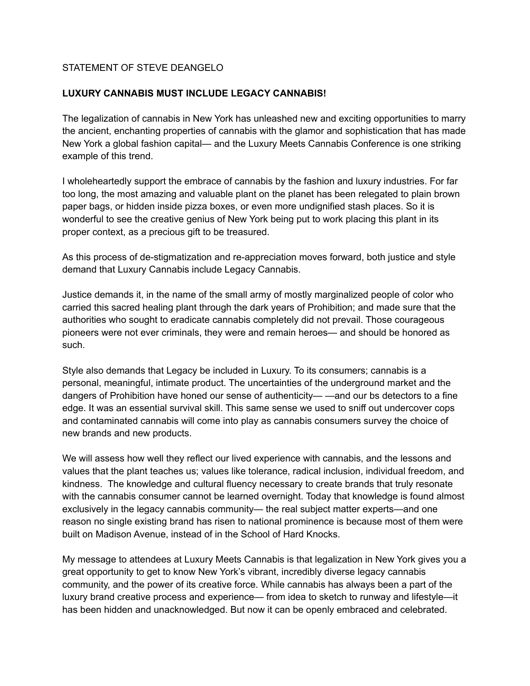## STATEMENT OF STEVE DEANGELO

## **LUXURY CANNABIS MUST INCLUDE LEGACY CANNABIS!**

The legalization of cannabis in New York has unleashed new and exciting opportunities to marry the ancient, enchanting properties of cannabis with the glamor and sophistication that has made New York a global fashion capital— and the Luxury Meets Cannabis Conference is one striking example of this trend.

I wholeheartedly support the embrace of cannabis by the fashion and luxury industries. For far too long, the most amazing and valuable plant on the planet has been relegated to plain brown paper bags, or hidden inside pizza boxes, or even more undignified stash places. So it is wonderful to see the creative genius of New York being put to work placing this plant in its proper context, as a precious gift to be treasured.

As this process of de-stigmatization and re-appreciation moves forward, both justice and style demand that Luxury Cannabis include Legacy Cannabis.

Justice demands it, in the name of the small army of mostly marginalized people of color who carried this sacred healing plant through the dark years of Prohibition; and made sure that the authorities who sought to eradicate cannabis completely did not prevail. Those courageous pioneers were not ever criminals, they were and remain heroes— and should be honored as such.

Style also demands that Legacy be included in Luxury. To its consumers; cannabis is a personal, meaningful, intimate product. The uncertainties of the underground market and the dangers of Prohibition have honed our sense of authenticity— —and our bs detectors to a fine edge. It was an essential survival skill. This same sense we used to sniff out undercover cops and contaminated cannabis will come into play as cannabis consumers survey the choice of new brands and new products.

We will assess how well they reflect our lived experience with cannabis, and the lessons and values that the plant teaches us; values like tolerance, radical inclusion, individual freedom, and kindness. The knowledge and cultural fluency necessary to create brands that truly resonate with the cannabis consumer cannot be learned overnight. Today that knowledge is found almost exclusively in the legacy cannabis community— the real subject matter experts—and one reason no single existing brand has risen to national prominence is because most of them were built on Madison Avenue, instead of in the School of Hard Knocks.

My message to attendees at Luxury Meets Cannabis is that legalization in New York gives you a great opportunity to get to know New York's vibrant, incredibly diverse legacy cannabis community, and the power of its creative force. While cannabis has always been a part of the luxury brand creative process and experience— from idea to sketch to runway and lifestyle—it has been hidden and unacknowledged. But now it can be openly embraced and celebrated.